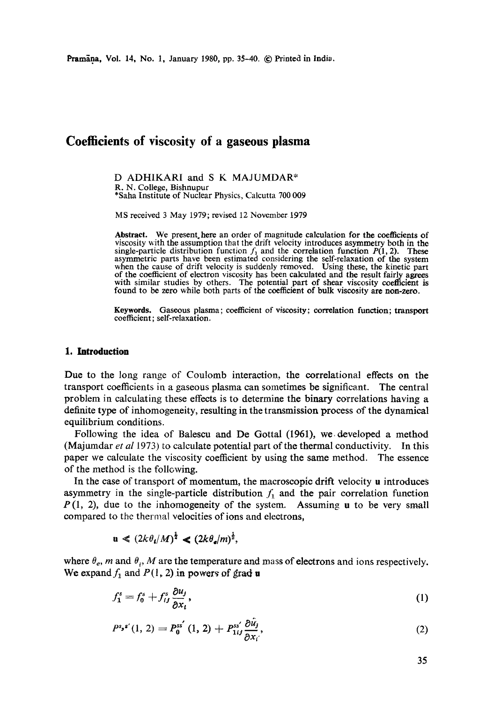# **Coefficients of viscosity of a gaseous plasma**

D ADHIKARI and S K MAJUMDAR\* R. N. College, Bishnupur \*Saha Institute of Nuclear Physics, Calcutta 700 009

MS received 3 May 1979; revised 12 November t979

Abstract. We present here an order of magnitude calculation for the coefficients of viscosity with the assumption that the drift velocity introduces asymmetry both in the single-particle distribution function  $f_1$  and the correlation function  $P(1, 2)$ . These asymmetric parts have been estimated considering the self-relaxation of the system when the cause of drift velocity is suddenly removed. Using these, the kinetic part of the coefficient of electron viscosity has been calculated and the result fairly agrees with similar studies by others. The potential part of shear viscosity coefficient is found to be zero while both parts of the coefficient of bulk viscosity are non-zero.

Keywords. Gaseous plasma; coefficient of viscosity; correlation function; transport coefficient; self-relaxation.

## **1. Introduction**

Due to the long range of Coulomb interaction, the correlational effects on the transport coefficients in a gaseous plasma can sometimes be significant. The central problem in calculating these effects is to determine the binary correlations having a definite type of inhomogeneity, resulting in the transmission process of the dynamical equilibrium conditions.

Following the idea of Balescu and De Gottal (1961), we. developed a method (Majumdar *et al* 1973) to calculate potential part of the thermal conductivity. In this paper we calculate the viscosity coefficient by using the same method. The essence of the method is the following.

In the case of transport of momentum, the macroscopic drift velocity u introduces asymmetry in the single-particle distribution  $f_1$  and the pair correlation function  $P(1, 2)$ , due to the inhomogeneity of the system. Assuming u to be very small compared to the thermal velocities of ions and electrons,

$$
\mathbf{u} \ll (2k\theta_{\mathbf{i}}/M)^{\frac{1}{2}} \ll (2k\theta_{\mathbf{e}}/m)^{\frac{1}{2}},
$$

where  $\theta_e$ , m and  $\theta_i$ , M are the temperature and mass of electrons and ions respectively. We expand  $f_1$  and  $P(1, 2)$  in powers of grad u

$$
f_1^s = f_0^s + f_{ij}^s \frac{\partial u_j}{\partial x_i},\tag{1}
$$

$$
P^{s,s'}(1, 2) = P_0^{ss'}(1, 2) + P_{1ij}^{ss'} \frac{\partial \hat{u}_j}{\partial x_i'},
$$
 (2)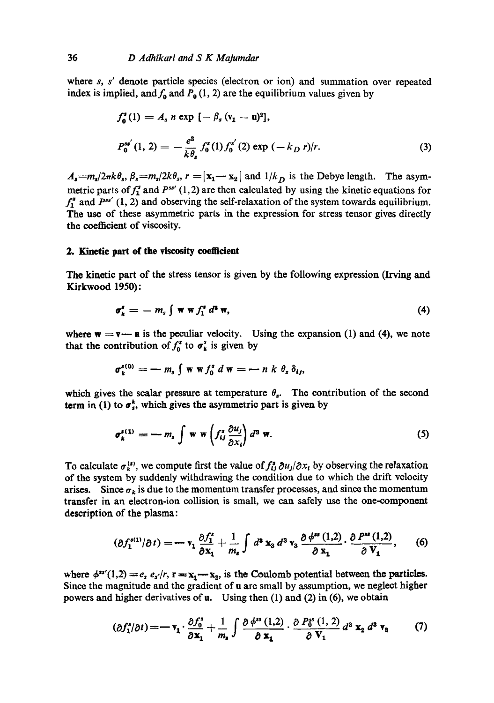where s, s' denote particle species (electron or ion) and summation over repeated index is implied, and  $f_0$  and  $P_0$  (1, 2) are the equilibrium values given by

$$
f_0^s(1) = A_s n \exp \left[ -\beta_s (v_1 - u)^2 \right],
$$
  
\n
$$
P_0^{ss'}(1, 2) = -\frac{e^2}{k \theta_s} f_0^s(1) f_0^{s'}(2) \exp \left( -k_D r \right) / r.
$$
 (3)

 $A_s = m_s/2\pi k\theta_s$ ,  $\beta_s = m_s/2k\theta_s$ ,  $r = |{\bf x}_1 - {\bf x}_2|$  and  $1/k_D$  is the Debye length. The asymmetric parts of  $f_1^s$  and  $P^{ss'}$  (1,2) are then calculated by using the kinetic equations for  $f_1^*$  and  $P^{ss'}$  (1, 2) and observing the self-relaxation of the system towards equilibrium. The use of these asymmetric parts in the expression for stress tensor gives directly the coefficient of viscosity.

#### **2. Kinetic part of the viscosity coefficient**

The kinetic part of the stress tensor is given by the following expression (Irving and Kirkwood 1950):

$$
\sigma_k^s = -m_s \int \mathbf{w} \mathbf{w} f_1^s d^s \mathbf{w}, \qquad (4)
$$

where  $w = v - u$  is the peculiar velocity. Using the expansion (1) and (4), we note that the contribution of  $f_0^s$  to  $\sigma_k^s$  is given by

$$
\sigma_k^{s(0)} = -m_s \int w w f_0^s d w = - n k \theta_s \delta_{ij},
$$

which gives the scalar pressure at temperature  $\theta_s$ . The contribution of the second term in (1) to  $\sigma_s^k$ , which gives the asymmetric part is given by

$$
\sigma_k^{s(1)} = -m_s \int \mathbf{w} \mathbf{w} \left( f_{ij}^s \frac{\partial u_j}{\partial x_i} \right) d^3 \mathbf{w}.
$$
 (5)

To calculate  $\sigma_k^{(s)}$ , we compute first the value of  $f_{ij}^s \partial u_j / \partial x_i$  by observing the relaxation of the system by suddenly withdrawing the condition due to which the drift velocity arises. Since  $\sigma_k$  is due to the momentum transfer processes, and since the momentum transfer in an electron-ion collision is small, we can safely use the one-component description of the plasma:

$$
(\partial f_1^{s(1)}/\partial t) = -\mathbf{v}_1 \frac{\partial f_1^s}{\partial \mathbf{x}_1} + \frac{1}{m_s} \int d^3 \mathbf{x}_3 d^3 \mathbf{v}_3 \frac{\partial \phi^{ss}(1,2)}{\partial \mathbf{x}_1} \cdot \frac{\partial P^{ss}(1,2)}{\partial \mathbf{V}_1}, \qquad (6)
$$

where  $\phi^{ss'}(1,2) = e_s e_{s'}/r$ ,  $r = x_1 - x_2$ , is the Coulomb potential between the particles. Since the magnitude and the gradient of u are small by assumption, we neglect higher powers and higher derivatives of u. Using then  $(1)$  and  $(2)$  in  $(6)$ , we obtain

$$
(\partial f_1^s/\partial t) = -\mathbf{v}_1 \cdot \frac{\partial f_0^s}{\partial \mathbf{x}_1} + \frac{1}{m_s} \int \frac{\partial \phi^{ss}(1,2)}{\partial \mathbf{x}_1} \cdot \frac{\partial P_0^{ss}(1,2)}{\partial \mathbf{V}_1} d^3 \mathbf{x}_2 d^3 \mathbf{v}_2 \tag{7}
$$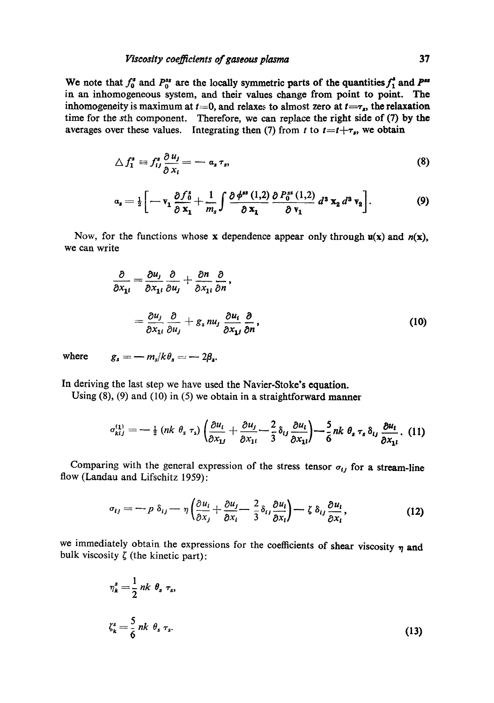We note that  $f_0^s$  and  $P_0^{ss}$  are the locally symmetric parts of the quantities  $f_1^s$  and  $P^{ss}$ in an inhomogeneous system, and their values change from point to point. The inhomogeneity is maximum at  $t=0$ , and relaxes to almost zero at  $t=\tau_s$ , the relaxation time for the sth component. Therefore, we can replace the right side of (7) by the averages over these values. Integrating then (7) from t to  $t=t+\tau_s$ , we obtain

$$
\triangle f_1^s \equiv f_{ij}^s \frac{\partial u_j}{\partial x_i} = -a_s \tau_s, \tag{8}
$$

$$
\alpha_s = \frac{1}{2} \bigg[ -\mathbf{v}_1 \frac{\partial f_0^s}{\partial \mathbf{x}_1} + \frac{1}{m_s} \int \frac{\partial \phi^{ss}(1,2)}{\partial \mathbf{x}_1} \frac{\partial P_0^{ss}(1,2)}{\partial \mathbf{v}_1} d^3 \mathbf{x}_2 d^3 \mathbf{v}_2 \bigg]. \tag{9}
$$

Now, for the functions whose x dependence appear only through  $u(x)$  and  $n(x)$ , we can write

$$
\frac{\partial}{\partial x_{1i}} = \frac{\partial u_j}{\partial x_{1i}} \frac{\partial}{\partial u_j} + \frac{\partial n}{\partial x_{1i}} \frac{\partial}{\partial n},
$$
  
= 
$$
\frac{\partial u_j}{\partial x_{1i}} \frac{\partial}{\partial u_j} + g_s n u_j \frac{\partial u_i}{\partial x_{1j}} \frac{\partial}{\partial n},
$$
 (10)

where  $g_s = -m_s/k\theta_s = -2\beta_s$ .

In deriving the last step we have used the Navier-Stoke's equation.

Using (8), (9) and (10) in (5) we obtain in a straightforward manner

$$
\sigma_{kij}^{(1)} = -\tfrac{1}{2} \left( nk \, \theta_s \, \tau_s \right) \left( \frac{\partial u_i}{\partial x_{1j}} + \frac{\partial u_j}{\partial x_{1i}} - \frac{2}{3} \, \delta_{ij} \, \frac{\partial u_i}{\partial x_{1i}} \right) - \frac{5}{6} \, nk \, \theta_s \, \tau_s \, \delta_{ij} \, \frac{\partial u_i}{\partial x_{1i}}. \tag{11}
$$

Comparing with the general expression of the stress tensor  $\sigma_{ij}$  for a stream-line flow (Landau and Lifschitz 1959):

$$
\sigma_{ij} = -p \,\delta_{ij} - \eta \left( \frac{\partial u_i}{\partial x_j} + \frac{\partial u_j}{\partial x_i} - \frac{2}{3} \delta_{ij} \frac{\partial u_i}{\partial x_i} \right) - \zeta \,\delta_{ij} \frac{\partial u_i}{\partial x_i},\tag{12}
$$

we immediately obtain the expressions for the coefficients of shear viscosity  $\eta$  and bulk viscosity  $\zeta$  (the kinetic part):

$$
\eta_k^s = \frac{1}{2} nk \theta_s \tau_s,
$$
  
\n
$$
\zeta_k^s = \frac{5}{6} nk \theta_s \tau_s.
$$
\n(13)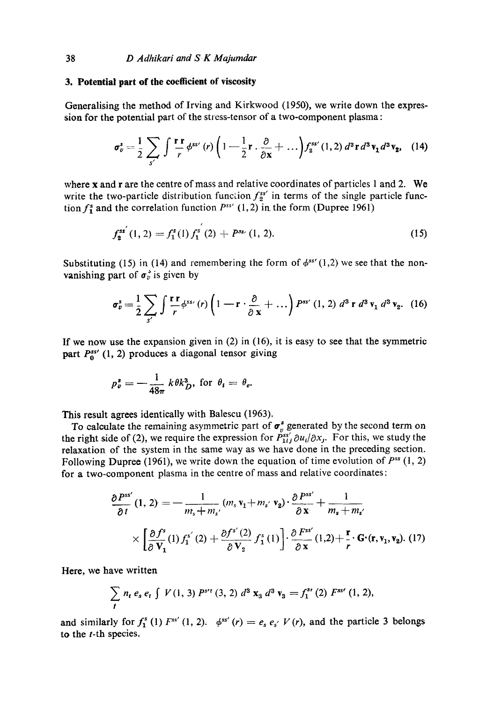#### **3. Potential part of the coefficient of viscosity**

Generalising the method of Irving and Kirkwood (1950), we write down the expression for the potential part of the stress-tensor of a two-component plasma :

$$
\sigma_v^s = \frac{1}{2} \sum_{s'} \int \frac{\mathbf{r} \cdot \mathbf{r}}{r} \phi^{ss'}(r) \left(1 - \frac{1}{2} \mathbf{r} \cdot \frac{\partial}{\partial x} + \ldots \right) f_2^{ss'}(1,2) d^3 \mathbf{r} d^3 \mathbf{v}_1 d^3 \mathbf{v}_2, \quad (14)
$$

where x and r are the centre of mass and relative coordinates of particles 1 and 2. We write the two-particle distribution function  $f^{ss'}_{2}$  in terms of the single particle function  $f^{s}_{1}$  and the correlation function  $P^{ss'}$  (1,2) in the form (Dupree 1961)

$$
f_2^{ss'}(1,2)=f_1^s(1)f_1^{s'}(2)+P^{ss'}(1,2).
$$
 (15)

Substituting (15) in (14) and remembering the form of  $\phi^{ss'}(1,2)$  we see that the nonvanishing part of  $\sigma_v^3$  is given by

$$
\sigma_v^s = \frac{1}{2} \sum_{s'} \int \frac{\mathbf{r} \cdot \mathbf{r}}{r} \phi^{ss}(r) \left(1 - \mathbf{r} \cdot \frac{\partial}{\partial \mathbf{x}} + \ldots \right) P^{ss'}(1, 2) d^3 \mathbf{r} d^3 \mathbf{v}_1 d^3 \mathbf{v}_2. (16)
$$

If we now use the expansion given in  $(2)$  in  $(16)$ , it is easy to see that the symmetric part  $P_0^{ss'}$  (1, 2) produces a diagonal tensor giving

$$
p_v^* = -\frac{1}{48\pi} k \theta k_D^3
$$
, for  $\theta_i = \theta_e$ .

This result agrees identically with Balescu (1963).

To calculate the remaining asymmetric part of  $\sigma_v^s$  generated by the second term on the right side of (2), we require the expression for  $\tilde{P}_{1ij}^{ss'} \partial u_i / \partial x_j$ . For this, we study the relaxation of the system in the same way as we have done in the preceding section. Following Dupree (1961), we write down the equation of time evolution of  $P^{ss}(1, 2)$ for a two-component plasma in the centre of mass and relative coordinates:

$$
\frac{\partial P^{ss'}}{\partial t}(1,2) = -\frac{1}{m_s + m_{s'}}(m_s \mathbf{v}_1 + m_{s'} \mathbf{v}_2) \cdot \frac{\partial P^{ss'}}{\partial \mathbf{x}} + \frac{1}{m_s + m_{s'}}\n\times \left[ \frac{\partial f^s}{\partial \mathbf{V}_1}(1) f_1^{s'}(2) + \frac{\partial f^{s'}(2)}{\partial \mathbf{V}_2} f_1^s(1) \right] \cdot \frac{\partial F^{ss'}}{\partial \mathbf{x}}(1,2) + \frac{\mathbf{r}}{r} \cdot \mathbf{G} \cdot (\mathbf{r}, \mathbf{v}_1, \mathbf{v}_2). \tag{17}
$$

Here, we have written

$$
\sum_{t} n_{t} e_{s} e_{t} \int V(1, 3) P^{s \prime t}(3, 2) d^{3} \mathbf{x}_{3} d^{3} \mathbf{v}_{3} = f_{1}^{s \prime}(2) F^{s \prime}(1, 2),
$$

and similarly for  $f_1^s$  (1)  $F^{ss'}$  (1, 2).  $\phi^{ss'}$  (r) =  $e_s e_{s'} V(r)$ , and the particle 3 belongs **to the** t-th species.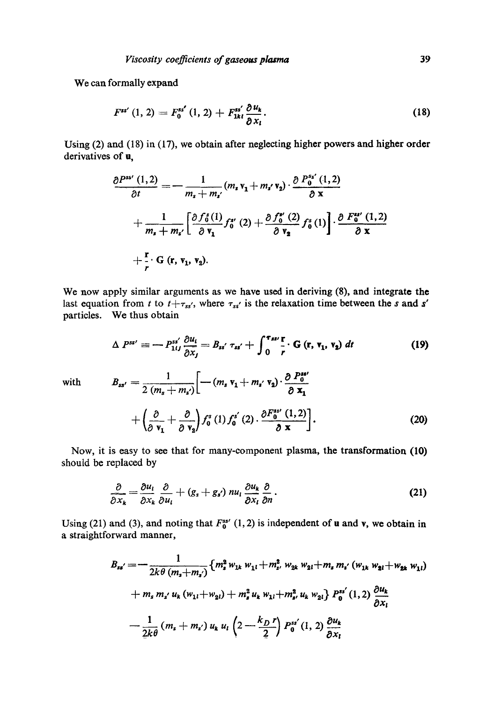# We can formally expand

$$
F^{ss'}(1, 2) = F_0^{ss'}(1, 2) + F_{1kt}^{ss'} \frac{\partial u_k}{\partial x_l}.
$$
 (18)

Using (2) and (18) in (17), we obtain after neglecting higher powers and higher order derivatives of **u**,

$$
\frac{\partial P^{ss'}(1,2)}{\partial t} = -\frac{1}{m_s + m_{s'}} (m_s v_1 + m_{s'} v_2) \cdot \frac{\partial P^{ss'}_{0}(1,2)}{\partial x} \n+ \frac{1}{m_s + m_{s'}} \left[ \frac{\partial f_0^s(1)}{\partial v_1} f_0^{s'}(2) + \frac{\partial f_0^{s'}(2)}{\partial v_2} f_0^s(1) \right] \cdot \frac{\partial F_0^{ss'}(1,2)}{\partial x} \n+ \frac{r}{r} \cdot G(r, v_1, v_2).
$$

We now apply similar arguments as we have used in deriving (8), and integrate the last equation from t to  $t+\tau_{ss}$ , where  $\tau_{ss}$  is the relaxation time between the s and s' particles. We thus obtain

$$
\Delta P^{ss'} \equiv -P_{1ij}^{ss'} \frac{\partial u_i}{\partial x_j} = B_{ss'} \tau_{ss'} + \int_0^{\tau_{ss'}} \frac{\Gamma}{r} \cdot G \left(\mathbf{r}, \mathbf{v}_1, \mathbf{v}_2\right) dt \tag{19}
$$
  
with 
$$
B_{ss'} = \frac{1}{2 \left(m_s + m_s\right)} \left[ -\left(m_s \mathbf{v}_1 + m_{s'} \mathbf{v}_2\right) \cdot \frac{\partial P_0^{ss'}}{\partial \mathbf{x}} \right]
$$

$$
+\left(\frac{\partial}{\partial \mathbf{v_1}}+\frac{\partial}{\partial \mathbf{v_2}}\right)f_0^s(1)f_0^{s'}(2)\cdot\frac{\partial F_0^{ss'}(1,2)}{\partial \mathbf{x}}\right].
$$
 (20)

Now, it is easy to see that for many-component plasma, the transformation (10) should be replaced by

$$
\frac{\partial}{\partial x_k} = \frac{\partial u_l}{\partial x_k} \frac{\partial}{\partial u_l} + (g_s + g_{s'}) \ n u_l \frac{\partial u_k}{\partial x_l} \frac{\partial}{\partial n}.
$$
 (21)

Using (21) and (3), and noting that  $F_0^{ss'}$  (1, 2) is independent of u and v, we obtain in a straightforward manner,

$$
B_{ss'} = -\frac{1}{2k\theta (m_s + m_{s'})} \{m_s^2 w_{1k} w_{1l} + m_s^2 w_{2k} w_{2l} + m_s m_{s'} (w_{1k} w_{2l} + w_{2k} w_{1l})
$$
  
+  $m_s m_{s'} u_k (w_{1l} + w_{2l}) + m_s^2 u_k w_{1l} + m_s^2 u_k w_{2l} \} P_0^{ss'} (1, 2) \frac{\partial u_k}{\partial x_l}$   
-  $\frac{1}{2k\theta} (m_s + m_{s'}) u_k u_l \left(2 - \frac{k_D r}{2}\right) P_0^{ss'} (1, 2) \frac{\partial u_k}{\partial x_l}$